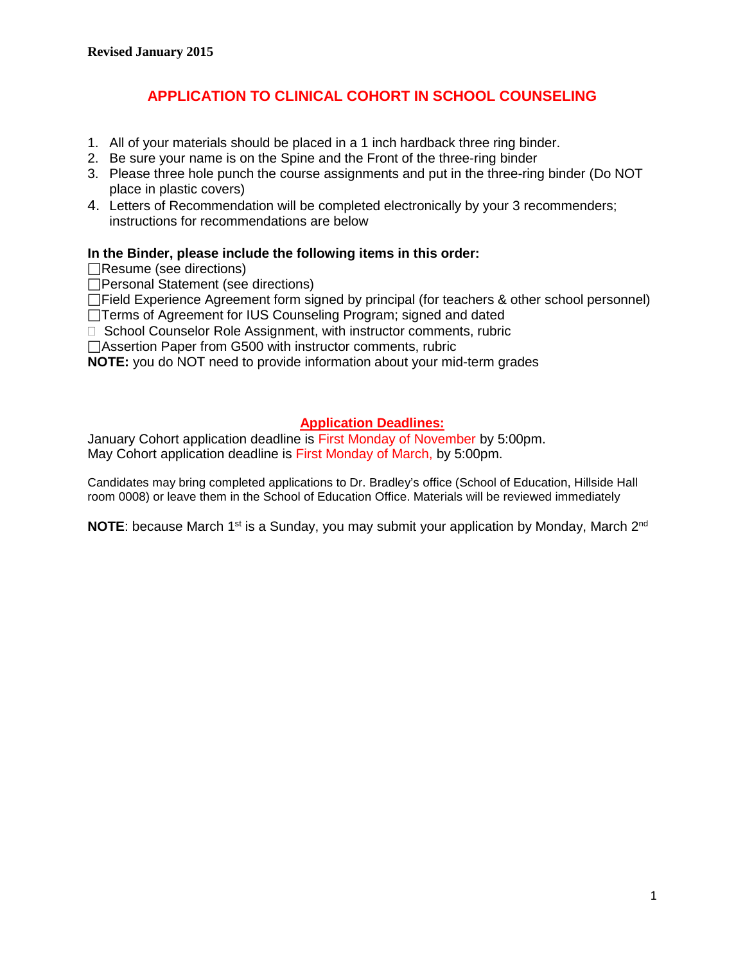# **APPLICATION TO CLINICAL COHORT IN SCHOOL COUNSELING**

- 1. All of your materials should be placed in a 1 inch hardback three ring binder.
- 2. Be sure your name is on the Spine and the Front of the three-ring binder
- 3. Please three hole punch the course assignments and put in the three-ring binder (Do NOT place in plastic covers)
- 4. Letters of Recommendation will be completed electronically by your 3 recommenders; instructions for recommendations are below

# **In the Binder, please include the following items in this order:**

Resume (see directions)

Personal Statement (see directions)

□Field Experience Agreement form signed by principal (for teachers & other school personnel)

□Terms of Agreement for IUS Counseling Program; signed and dated

□ School Counselor Role Assignment, with instructor comments, rubric

Assertion Paper from G500 with instructor comments, rubric

**NOTE:** you do NOT need to provide information about your mid-term grades

# **Application Deadlines:**

January Cohort application deadline is First Monday of November by 5:00pm. May Cohort application deadline is First Monday of March, by 5:00pm.

Candidates may bring completed applications to Dr. Bradley's office (School of Education, Hillside Hall room 0008) or leave them in the School of Education Office. Materials will be reviewed immediately

**NOTE:** because March 1<sup>st</sup> is a Sunday, you may submit your application by Monday, March 2<sup>nd</sup>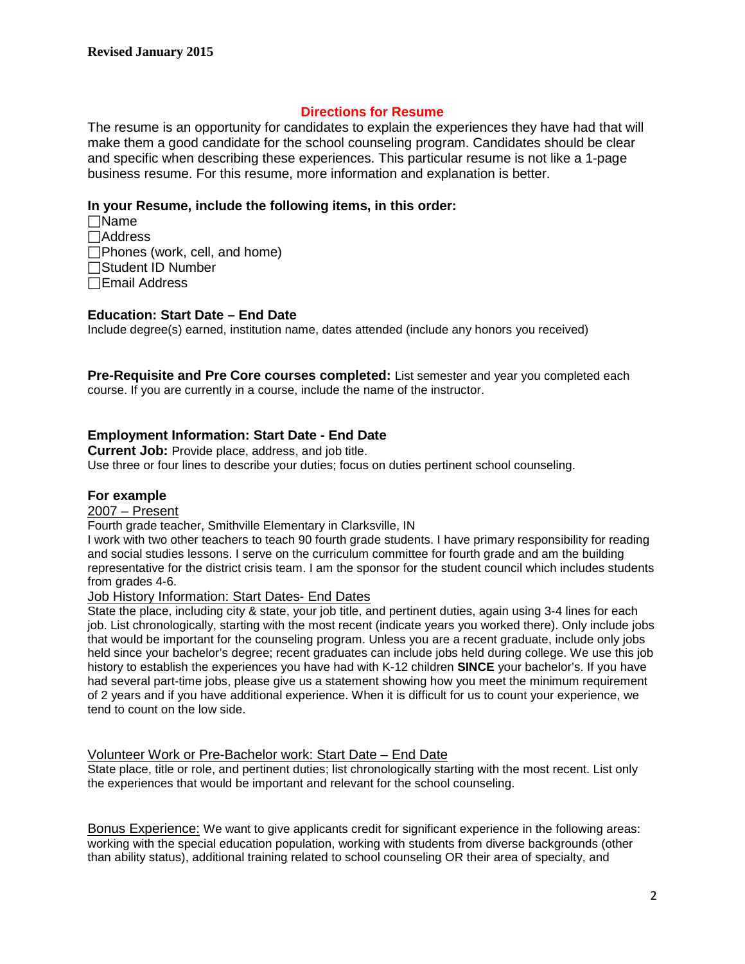# **Directions for Resume**

The resume is an opportunity for candidates to explain the experiences they have had that will make them a good candidate for the school counseling program. Candidates should be clear and specific when describing these experiences. This particular resume is not like a 1-page business resume. For this resume, more information and explanation is better.

### **In your Resume, include the following items, in this order:**

Name  $\Box$ Address Phones (work, cell, and home) Student ID Number Email Address

### **Education: Start Date – End Date**

Include degree(s) earned, institution name, dates attended (include any honors you received)

**Pre-Requisite and Pre Core courses completed:** List semester and year you completed each course. If you are currently in a course, include the name of the instructor.

# **Employment Information: Start Date - End Date**

**Current Job:** Provide place, address, and job title.

Use three or four lines to describe your duties; focus on duties pertinent school counseling.

#### **For example**

# 2007 – Present

#### Fourth grade teacher, Smithville Elementary in Clarksville, IN

I work with two other teachers to teach 90 fourth grade students. I have primary responsibility for reading and social studies lessons. I serve on the curriculum committee for fourth grade and am the building representative for the district crisis team. I am the sponsor for the student council which includes students from grades 4-6.

#### Job History Information: Start Dates- End Dates

State the place, including city & state, your job title, and pertinent duties, again using 3-4 lines for each job. List chronologically, starting with the most recent (indicate years you worked there). Only include jobs that would be important for the counseling program. Unless you are a recent graduate, include only jobs held since your bachelor's degree; recent graduates can include jobs held during college. We use this job history to establish the experiences you have had with K-12 children **SINCE** your bachelor's. If you have had several part-time jobs, please give us a statement showing how you meet the minimum requirement of 2 years and if you have additional experience. When it is difficult for us to count your experience, we tend to count on the low side.

#### Volunteer Work or Pre-Bachelor work: Start Date – End Date

State place, title or role, and pertinent duties; list chronologically starting with the most recent. List only the experiences that would be important and relevant for the school counseling.

Bonus Experience: We want to give applicants credit for significant experience in the following areas: working with the special education population, working with students from diverse backgrounds (other than ability status), additional training related to school counseling OR their area of specialty, and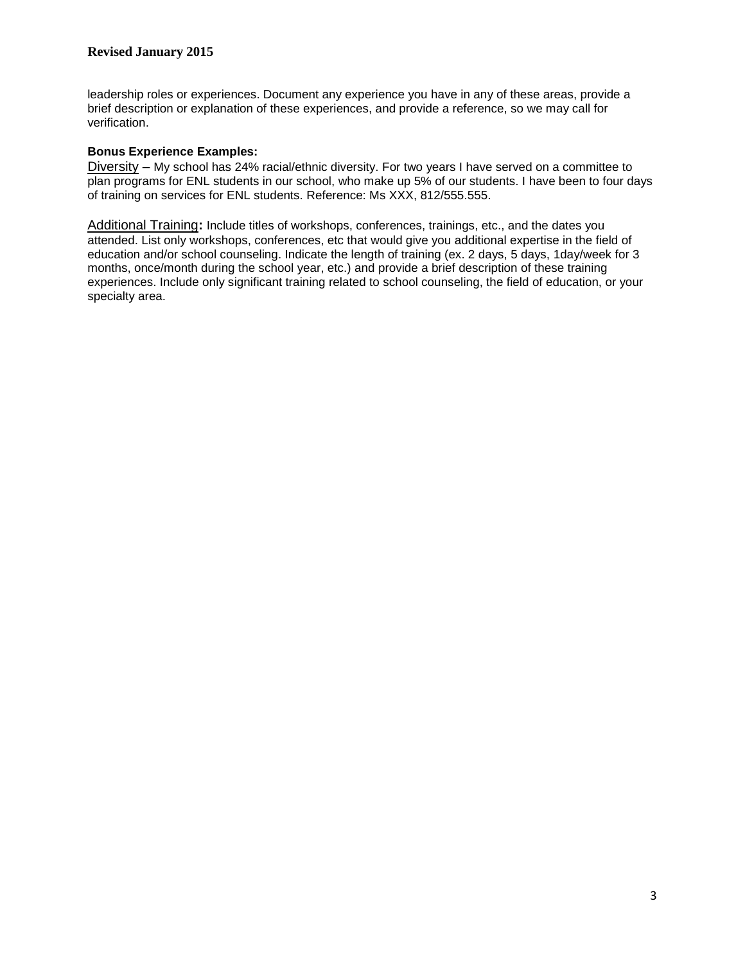leadership roles or experiences. Document any experience you have in any of these areas, provide a brief description or explanation of these experiences, and provide a reference, so we may call for verification.

### **Bonus Experience Examples:**

Diversity – My school has 24% racial/ethnic diversity. For two years I have served on a committee to plan programs for ENL students in our school, who make up 5% of our students. I have been to four days of training on services for ENL students. Reference: Ms XXX, 812/555.555.

Additional Training**:** Include titles of workshops, conferences, trainings, etc., and the dates you attended. List only workshops, conferences, etc that would give you additional expertise in the field of education and/or school counseling. Indicate the length of training (ex. 2 days, 5 days, 1day/week for 3 months, once/month during the school year, etc.) and provide a brief description of these training experiences. Include only significant training related to school counseling, the field of education, or your specialty area.